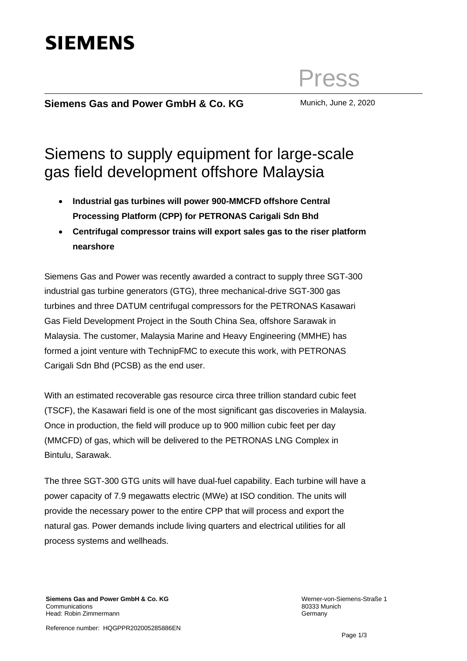Press

## **Siemens Gas and Power GmbH & Co. KG** Munich, June 2, 2020

## Siemens to supply equipment for large-scale gas field development offshore Malaysia

- **Industrial gas turbines will power 900-MMCFD offshore Central Processing Platform (CPP) for PETRONAS Carigali Sdn Bhd**
- **Centrifugal compressor trains will export sales gas to the riser platform nearshore**

Siemens Gas and Power was recently awarded a contract to supply three SGT-300 industrial gas turbine generators (GTG), three mechanical-drive SGT-300 gas turbines and three DATUM centrifugal compressors for the PETRONAS Kasawari Gas Field Development Project in the South China Sea, offshore Sarawak in Malaysia. The customer, Malaysia Marine and Heavy Engineering (MMHE) has formed a joint venture with TechnipFMC to execute this work, with PETRONAS Carigali Sdn Bhd (PCSB) as the end user.

With an estimated recoverable gas resource circa three trillion standard cubic feet (TSCF), the Kasawari field is one of the most significant gas discoveries in Malaysia. Once in production, the field will produce up to 900 million cubic feet per day (MMCFD) of gas, which will be delivered to the PETRONAS LNG Complex in Bintulu, Sarawak.

The three SGT-300 GTG units will have dual-fuel capability. Each turbine will have a power capacity of 7.9 megawatts electric (MWe) at ISO condition. The units will provide the necessary power to the entire CPP that will process and export the natural gas. Power demands include living quarters and electrical utilities for all process systems and wellheads.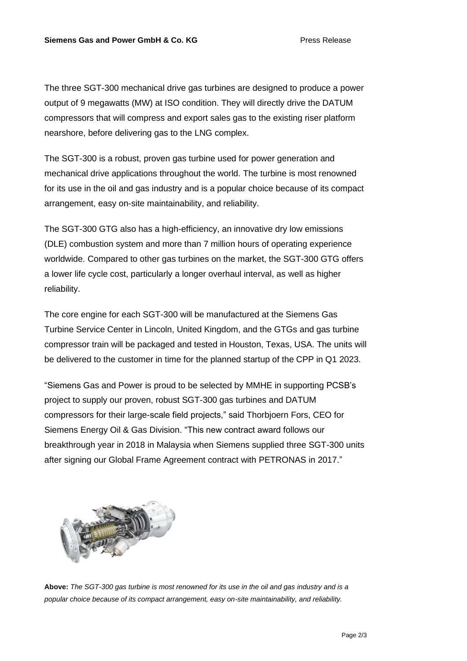The three SGT-300 mechanical drive gas turbines are designed to produce a power output of 9 megawatts (MW) at ISO condition. They will directly drive the DATUM compressors that will compress and export sales gas to the existing riser platform nearshore, before delivering gas to the LNG complex.

The SGT-300 is a robust, proven gas turbine used for power generation and mechanical drive applications throughout the world. The turbine is most renowned for its use in the oil and gas industry and is a popular choice because of its compact arrangement, easy on-site maintainability, and reliability.

The SGT-300 GTG also has a high-efficiency, an innovative dry low emissions (DLE) combustion system and more than 7 million hours of operating experience worldwide. Compared to other gas turbines on the market, the SGT-300 GTG offers a lower life cycle cost, particularly a longer overhaul interval, as well as higher reliability.

The core engine for each SGT-300 will be manufactured at the Siemens Gas Turbine Service Center in Lincoln, United Kingdom, and the GTGs and gas turbine compressor train will be packaged and tested in Houston, Texas, USA. The units will be delivered to the customer in time for the planned startup of the CPP in Q1 2023.

"Siemens Gas and Power is proud to be selected by MMHE in supporting PCSB's project to supply our proven, robust SGT-300 gas turbines and DATUM compressors for their large-scale field projects," said Thorbjoern Fors, CEO for Siemens Energy Oil & Gas Division. "This new contract award follows our breakthrough year in 2018 in Malaysia when Siemens supplied three SGT-300 units after signing our Global Frame Agreement contract with PETRONAS in 2017."



**Above:** *The SGT-300 gas turbine is most renowned for its use in the oil and gas industry and is a popular choice because of its compact arrangement, easy on-site maintainability, and reliability.*